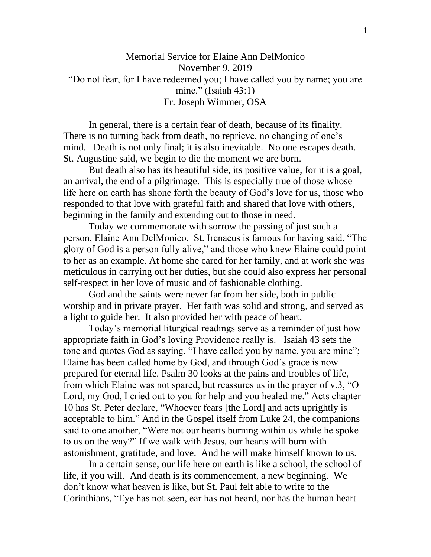## Memorial Service for Elaine Ann DelMonico November 9, 2019 "Do not fear, for I have redeemed you; I have called you by name; you are mine." (Isaiah 43:1) Fr. Joseph Wimmer, OSA

In general, there is a certain fear of death, because of its finality. There is no turning back from death, no reprieve, no changing of one's mind. Death is not only final; it is also inevitable. No one escapes death. St. Augustine said, we begin to die the moment we are born.

But death also has its beautiful side, its positive value, for it is a goal, an arrival, the end of a pilgrimage. This is especially true of those whose life here on earth has shone forth the beauty of God's love for us, those who responded to that love with grateful faith and shared that love with others, beginning in the family and extending out to those in need.

Today we commemorate with sorrow the passing of just such a person, Elaine Ann DelMonico. St. Irenaeus is famous for having said, "The glory of God is a person fully alive," and those who knew Elaine could point to her as an example. At home she cared for her family, and at work she was meticulous in carrying out her duties, but she could also express her personal self-respect in her love of music and of fashionable clothing.

God and the saints were never far from her side, both in public worship and in private prayer. Her faith was solid and strong, and served as a light to guide her. It also provided her with peace of heart.

Today's memorial liturgical readings serve as a reminder of just how appropriate faith in God's loving Providence really is. Isaiah 43 sets the tone and quotes God as saying, "I have called you by name, you are mine"; Elaine has been called home by God, and through God's grace is now prepared for eternal life. Psalm 30 looks at the pains and troubles of life, from which Elaine was not spared, but reassures us in the prayer of v.3, "O Lord, my God, I cried out to you for help and you healed me." Acts chapter 10 has St. Peter declare, "Whoever fears [the Lord] and acts uprightly is acceptable to him." And in the Gospel itself from Luke 24, the companions said to one another, "Were not our hearts burning within us while he spoke to us on the way?" If we walk with Jesus, our hearts will burn with astonishment, gratitude, and love. And he will make himself known to us.

In a certain sense, our life here on earth is like a school, the school of life, if you will. And death is its commencement, a new beginning. We don't know what heaven is like, but St. Paul felt able to write to the Corinthians, "Eye has not seen, ear has not heard, nor has the human heart